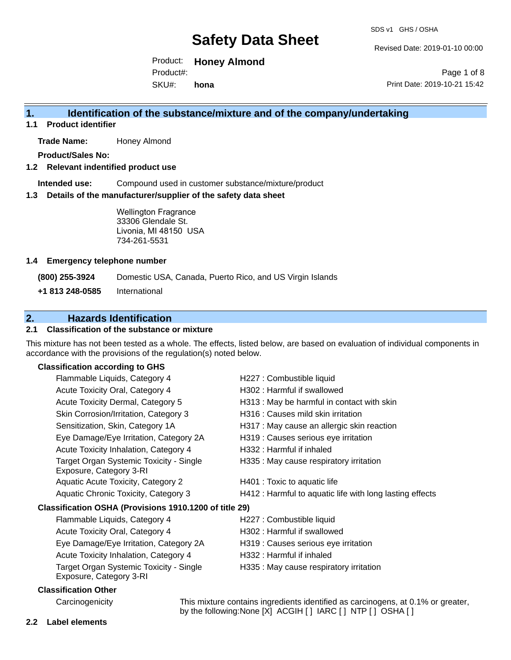Revised Date: 2019-01-10 00:00

Product: **Honey Almond**  SKU#: Product#: **hona**

Page 1 of 8 Print Date: 2019-10-21 15:42

### **1. Identification of the substance/mixture and of the company/undertaking**

**1.1 Product identifier**

**Trade Name:** Honey Almond

**Product/Sales No:**

#### **1.2 Relevant indentified product use**

**Intended use:** Compound used in customer substance/mixture/product

#### **1.3 Details of the manufacturer/supplier of the safety data sheet**

Wellington Fragrance 33306 Glendale St. Livonia, MI 48150 USA 734-261-5531

#### **1.4 Emergency telephone number**

**(800) 255-3924** Domestic USA, Canada, Puerto Rico, and US Virgin Islands

**+1 813 248-0585** International

### **2. Hazards Identification**

#### **2.1 Classification of the substance or mixture**

This mixture has not been tested as a whole. The effects, listed below, are based on evaluation of individual components in accordance with the provisions of the regulation(s) noted below.

#### **Classification according to GHS**

| Flammable Liquids, Category 4                                      | H227 : Combustible liquid                                                                                                                                                       |
|--------------------------------------------------------------------|---------------------------------------------------------------------------------------------------------------------------------------------------------------------------------|
| Acute Toxicity Oral, Category 4                                    | H302 : Harmful if swallowed                                                                                                                                                     |
| Acute Toxicity Dermal, Category 5                                  | H313 : May be harmful in contact with skin                                                                                                                                      |
| Skin Corrosion/Irritation, Category 3                              | H316 : Causes mild skin irritation                                                                                                                                              |
| Sensitization, Skin, Category 1A                                   | H317 : May cause an allergic skin reaction                                                                                                                                      |
| Eye Damage/Eye Irritation, Category 2A                             | H319 : Causes serious eye irritation                                                                                                                                            |
| Acute Toxicity Inhalation, Category 4                              | H332: Harmful if inhaled                                                                                                                                                        |
| Target Organ Systemic Toxicity - Single<br>Exposure, Category 3-RI | H335 : May cause respiratory irritation                                                                                                                                         |
| <b>Aquatic Acute Toxicity, Category 2</b>                          | H401 : Toxic to aquatic life                                                                                                                                                    |
| Aquatic Chronic Toxicity, Category 3                               | H412 : Harmful to aquatic life with long lasting effects                                                                                                                        |
| Classification OSHA (Provisions 1910.1200 of title 29)             |                                                                                                                                                                                 |
| Flammable Liquids, Category 4                                      | H227 : Combustible liquid                                                                                                                                                       |
| Acute Toxicity Oral, Category 4                                    | H302: Harmful if swallowed                                                                                                                                                      |
| Eye Damage/Eye Irritation, Category 2A                             | H319 : Causes serious eye irritation                                                                                                                                            |
| Acute Toxicity Inhalation, Category 4                              | H332: Harmful if inhaled                                                                                                                                                        |
| Target Organ Systemic Toxicity - Single<br>Exposure, Category 3-RI | H335 : May cause respiratory irritation                                                                                                                                         |
| <b>Classification Other</b>                                        |                                                                                                                                                                                 |
| Organización de la final                                           | $\overline{\mathbf{T}}$ le a defende a contribuir forma diventa i dentificat per a conclusion e a contribution ( $\overline{\mathbf{A}}$ $\mathbf{0}$ / $\overline{\mathbf{A}}$ |

Carcinogenicity This mixture contains ingredients identified as carcinogens, at 0.1% or greater, by the following:None [X] ACGIH [ ] IARC [ ] NTP [ ] OSHA [ ]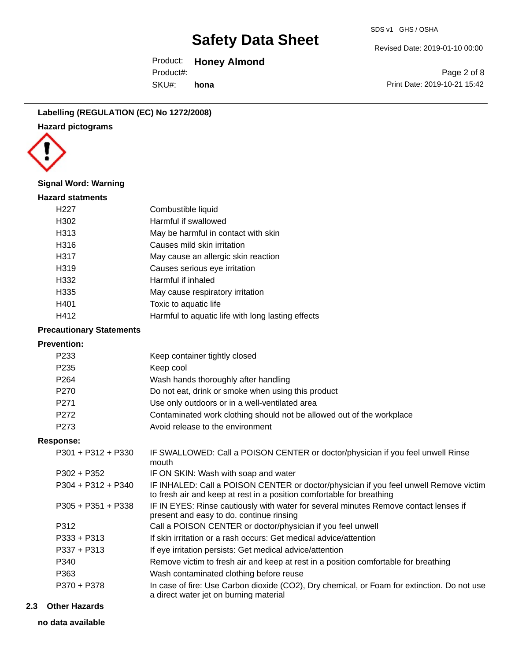Revised Date: 2019-01-10 00:00

Product: **Honey Almond**  SKU#: Product#: **hona**

Page 2 of 8 Print Date: 2019-10-21 15:42

**Labelling (REGULATION (EC) No 1272/2008) Hazard pictograms**



#### **Signal Word: Warning**

| <b>Hazard statments</b> |                                                   |
|-------------------------|---------------------------------------------------|
| H <sub>22</sub> 7       | Combustible liquid                                |
| H302                    | Harmful if swallowed                              |
| H313                    | May be harmful in contact with skin               |
| H316                    | Causes mild skin irritation                       |
| H317                    | May cause an allergic skin reaction               |
| H319                    | Causes serious eye irritation                     |
| H332                    | Harmful if inhaled                                |
| H335                    | May cause respiratory irritation                  |
| H401                    | Toxic to aquatic life                             |
| H412                    | Harmful to aquatic life with long lasting effects |
|                         |                                                   |

#### **Precautionary Statements**

### **Prevention:**

| FICVEIIUUII.         |                                                                                                                                                                |
|----------------------|----------------------------------------------------------------------------------------------------------------------------------------------------------------|
| P233                 | Keep container tightly closed                                                                                                                                  |
| P <sub>235</sub>     | Keep cool                                                                                                                                                      |
| P <sub>264</sub>     | Wash hands thoroughly after handling                                                                                                                           |
| P <sub>270</sub>     | Do not eat, drink or smoke when using this product                                                                                                             |
| P271                 | Use only outdoors or in a well-ventilated area                                                                                                                 |
| P <sub>272</sub>     | Contaminated work clothing should not be allowed out of the workplace                                                                                          |
| P <sub>273</sub>     | Avoid release to the environment                                                                                                                               |
| <b>Response:</b>     |                                                                                                                                                                |
| $P301 + P312 + P330$ | IF SWALLOWED: Call a POISON CENTER or doctor/physician if you feel unwell Rinse<br>mouth                                                                       |
| P302 + P352          | IF ON SKIN: Wash with soap and water                                                                                                                           |
| $P304 + P312 + P340$ | IF INHALED: Call a POISON CENTER or doctor/physician if you feel unwell Remove victim<br>to fresh air and keep at rest in a position comfortable for breathing |
| $P305 + P351 + P338$ | IF IN EYES: Rinse cautiously with water for several minutes Remove contact lenses if<br>present and easy to do. continue rinsing                               |
| P312                 | Call a POISON CENTER or doctor/physician if you feel unwell                                                                                                    |
| $P333 + P313$        | If skin irritation or a rash occurs: Get medical advice/attention                                                                                              |
| P337 + P313          | If eye irritation persists: Get medical advice/attention                                                                                                       |
| P340                 | Remove victim to fresh air and keep at rest in a position comfortable for breathing                                                                            |
| P363                 | Wash contaminated clothing before reuse                                                                                                                        |
| P370 + P378          | In case of fire: Use Carbon dioxide (CO2), Dry chemical, or Foam for extinction. Do not use<br>a direct water jet on burning material                          |

#### **2.3 Other Hazards**

**no data available**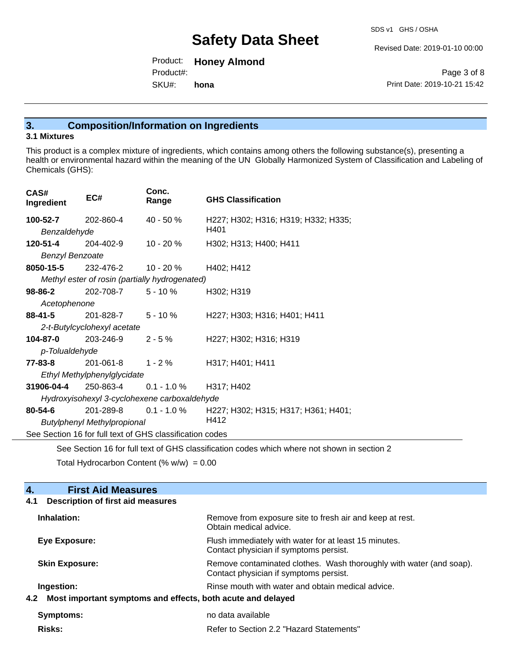Revised Date: 2019-01-10 00:00

Product: **Honey Almond**  SKU#: Product#: **hona**

Page 3 of 8 Print Date: 2019-10-21 15:42

### **3. Composition/Information on Ingredients**

#### **3.1 Mixtures**

This product is a complex mixture of ingredients, which contains among others the following substance(s), presenting a health or environmental hazard within the meaning of the UN Globally Harmonized System of Classification and Labeling of Chemicals (GHS):

| CAS#<br>Ingredient                                       | EC#                         | Conc.<br>Range                                 | <b>GHS Classification</b>           |
|----------------------------------------------------------|-----------------------------|------------------------------------------------|-------------------------------------|
| 100-52-7                                                 | 202-860-4                   | $40 - 50%$                                     | H227; H302; H316; H319; H332; H335; |
|                                                          | Benzaldehyde                |                                                | H401                                |
| 120-51-4                                                 | 204-402-9                   | $10 - 20%$                                     | H302; H313; H400; H411              |
| <b>Benzyl Benzoate</b>                                   |                             |                                                |                                     |
| 8050-15-5                                                | 232-476-2                   | 10 - 20 %                                      | H402; H412                          |
|                                                          |                             | Methyl ester of rosin (partially hydrogenated) |                                     |
| $98 - 86 - 2$                                            | 202-708-7                   | $5 - 10 \%$                                    | H302; H319                          |
|                                                          | Acetophenone                |                                                |                                     |
| $88 - 41 - 5$                                            | 201-828-7                   | 5 - 10 %                                       | H227; H303; H316; H401; H411        |
|                                                          | 2-t-Butylcyclohexyl acetate |                                                |                                     |
| 104-87-0                                                 | 203-246-9                   | $2 - 5%$                                       | H227; H302; H316; H319              |
| p-Tolualdehyde                                           |                             |                                                |                                     |
| $77 - 83 - 8$                                            | 201-061-8                   | $1 - 2 \%$                                     | H317; H401; H411                    |
|                                                          | Ethyl Methylphenylglycidate |                                                |                                     |
| 31906-04-4                                               | 250-863-4                   | $0.1 - 1.0 \%$                                 | H317; H402                          |
| Hydroxyisohexyl 3-cyclohexene carboxaldehyde             |                             |                                                |                                     |
| $80 - 54 - 6$                                            | 201-289-8                   | $0.1 - 1.0 \%$                                 | H227; H302; H315; H317; H361; H401; |
| H412<br><b>Butylphenyl Methylpropional</b>               |                             |                                                |                                     |
| See Section 16 for full text of GHS classification codes |                             |                                                |                                     |
|                                                          |                             |                                                |                                     |

See Section 16 for full text of GHS classification codes which where not shown in section 2

Total Hydrocarbon Content (%  $w/w$ ) = 0.00

#### **4. First Aid Measures 4.1 Description of first aid measures**

| Inhalation:           | Remove from exposure site to fresh air and keep at rest.<br>Obtain medical advice.                            |
|-----------------------|---------------------------------------------------------------------------------------------------------------|
| <b>Eye Exposure:</b>  | Flush immediately with water for at least 15 minutes.<br>Contact physician if symptoms persist.               |
| <b>Skin Exposure:</b> | Remove contaminated clothes. Wash thoroughly with water (and soap).<br>Contact physician if symptoms persist. |
| Ingestion:            | Rinse mouth with water and obtain medical advice.                                                             |
|                       | 4.2 Most important symptoms and effects, both acute and delayed                                               |
| Symptoms:             | no data available                                                                                             |
| <b>Risks:</b>         | Refer to Section 2.2 "Hazard Statements"                                                                      |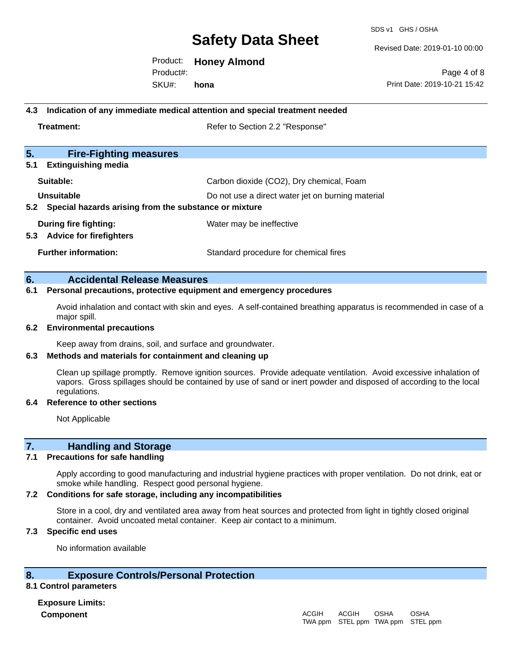SDS v1 GHS / OSHA

Revised Date: 2019-01-10 00:00

Page 4 of 8

Product: **Honey Almond**  Product#:

SKU#: **hona** Print Date: 2019-10-21 15:42

#### **4.3 Indication of any immediate medical attention and special treatment needed**

**Treatment:** Treatment: Treatment: Refer to Section 2.2 "Response"

| 5.<br><b>Fire-Fighting measures</b>                          |                                                   |
|--------------------------------------------------------------|---------------------------------------------------|
| <b>Extinguishing media</b><br>5.1                            |                                                   |
| Suitable:                                                    | Carbon dioxide (CO2), Dry chemical, Foam          |
| Unsuitable                                                   | Do not use a direct water jet on burning material |
| Special hazards arising from the substance or mixture<br>5.2 |                                                   |
| During fire fighting:                                        | Water may be ineffective                          |
| <b>Advice for firefighters</b><br>5.3                        |                                                   |
| <b>Further information:</b>                                  | Standard procedure for chemical fires             |

#### **6. Accidental Release Measures**

#### **6.1 Personal precautions, protective equipment and emergency procedures**

Avoid inhalation and contact with skin and eyes. A self-contained breathing apparatus is recommended in case of a major spill.

#### **6.2 Environmental precautions**

Keep away from drains, soil, and surface and groundwater.

#### **6.3 Methods and materials for containment and cleaning up**

Clean up spillage promptly. Remove ignition sources. Provide adequate ventilation. Avoid excessive inhalation of vapors. Gross spillages should be contained by use of sand or inert powder and disposed of according to the local regulations.

#### **6.4 Reference to other sections**

Not Applicable

#### **7. Handling and Storage**

#### **7.1 Precautions for safe handling**

Apply according to good manufacturing and industrial hygiene practices with proper ventilation. Do not drink, eat or smoke while handling. Respect good personal hygiene.

#### **7.2 Conditions for safe storage, including any incompatibilities**

Store in a cool, dry and ventilated area away from heat sources and protected from light in tightly closed original container. Avoid uncoated metal container. Keep air contact to a minimum.

#### **7.3 Specific end uses**

No information available

#### **8. Exposure Controls/Personal Protection**

#### **8.1 Control parameters**

**Exposure Limits: Component** ACGIH

#### TWA ppm STEL ppm TWA ppm STEL ppmACGIH OSHA OSHA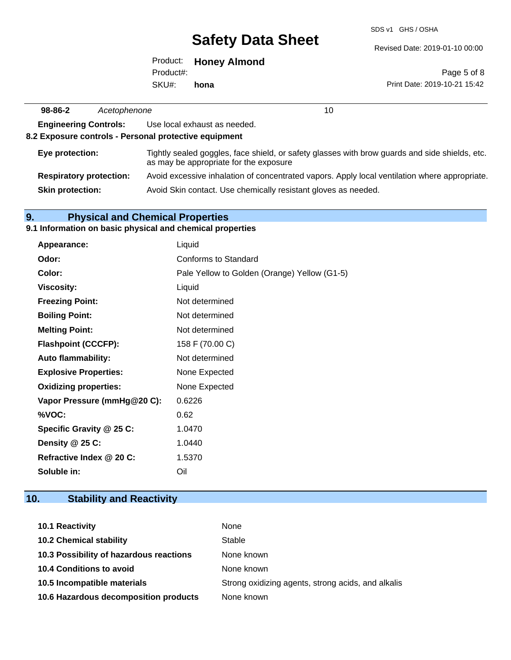SDS v1 GHS / OSHA

Revised Date: 2019-01-10 00:00

|            | Product: Honey Almond |
|------------|-----------------------|
| Product#:  |                       |
| SKU#: hona |                       |

Page 5 of 8 Print Date: 2019-10-21 15:42

| 98-86-2                 | Acetophenone                   | 10                                                                                                                                       |
|-------------------------|--------------------------------|------------------------------------------------------------------------------------------------------------------------------------------|
|                         | <b>Engineering Controls:</b>   | Use local exhaust as needed.                                                                                                             |
|                         |                                | 8.2 Exposure controls - Personal protective equipment                                                                                    |
| Eye protection:         |                                | Tightly sealed goggles, face shield, or safety glasses with brow guards and side shields, etc.<br>as may be appropriate for the exposure |
|                         | <b>Respiratory protection:</b> | Avoid excessive inhalation of concentrated vapors. Apply local ventilation where appropriate.                                            |
| <b>Skin protection:</b> |                                | Avoid Skin contact. Use chemically resistant gloves as needed.                                                                           |

## **9. Physical and Chemical Properties**

 $\overline{a}$ 

### **9.1 Information on basic physical and chemical properties**

| Appearance:                  | Liquid                                       |
|------------------------------|----------------------------------------------|
| Odor:                        | Conforms to Standard                         |
| Color:                       | Pale Yellow to Golden (Orange) Yellow (G1-5) |
| <b>Viscosity:</b>            | Liquid                                       |
| <b>Freezing Point:</b>       | Not determined                               |
| <b>Boiling Point:</b>        | Not determined                               |
| <b>Melting Point:</b>        | Not determined                               |
| <b>Flashpoint (CCCFP):</b>   | 158 F (70.00 C)                              |
| <b>Auto flammability:</b>    | Not determined                               |
| <b>Explosive Properties:</b> | None Expected                                |
| <b>Oxidizing properties:</b> | None Expected                                |
| Vapor Pressure (mmHg@20 C):  | 0.6226                                       |
| %VOC:                        | 0.62                                         |
| Specific Gravity @ 25 C:     | 1.0470                                       |
| Density @ 25 C:              | 1.0440                                       |
| Refractive Index @ 20 C:     | 1.5370                                       |
| Soluble in:                  | Oil                                          |

## **10. Stability and Reactivity**

| 10.1 Reactivity                         | None                                               |
|-----------------------------------------|----------------------------------------------------|
| <b>10.2 Chemical stability</b>          | Stable                                             |
| 10.3 Possibility of hazardous reactions | None known                                         |
| 10.4 Conditions to avoid                | None known                                         |
| 10.5 Incompatible materials             | Strong oxidizing agents, strong acids, and alkalis |
| 10.6 Hazardous decomposition products   | None known                                         |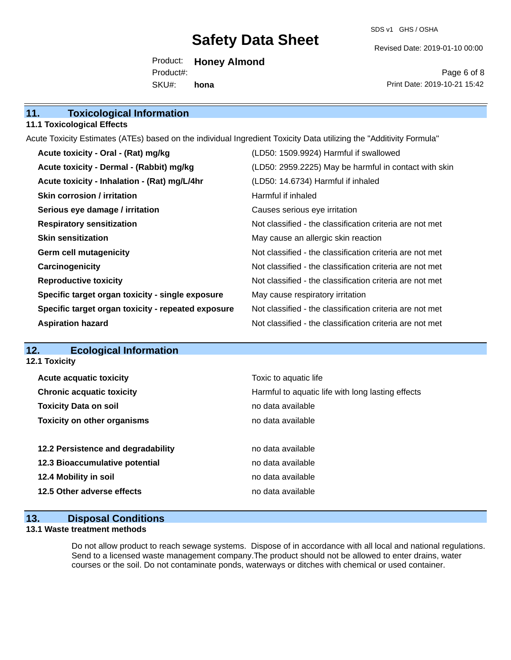SDS v1 GHS / OSHA

Revised Date: 2019-01-10 00:00

Product: **Honey Almond**  SKU#: Product#: **hona**

Page 6 of 8 Print Date: 2019-10-21 15:42

| 11.<br><b>Toxicological Information</b> |  |
|-----------------------------------------|--|
|-----------------------------------------|--|

#### **11.1 Toxicological Effects**

Acute Toxicity Estimates (ATEs) based on the individual Ingredient Toxicity Data utilizing the "Additivity Formula"

| Acute toxicity - Oral - (Rat) mg/kg                | (LD50: 1509.9924) Harmful if swallowed                   |
|----------------------------------------------------|----------------------------------------------------------|
| Acute toxicity - Dermal - (Rabbit) mg/kg           | (LD50: 2959.2225) May be harmful in contact with skin    |
| Acute toxicity - Inhalation - (Rat) mg/L/4hr       | (LD50: 14.6734) Harmful if inhaled                       |
| Skin corrosion / irritation                        | Harmful if inhaled                                       |
| Serious eye damage / irritation                    | Causes serious eye irritation                            |
| <b>Respiratory sensitization</b>                   | Not classified - the classification criteria are not met |
| <b>Skin sensitization</b>                          | May cause an allergic skin reaction                      |
| <b>Germ cell mutagenicity</b>                      | Not classified - the classification criteria are not met |
| Carcinogenicity                                    | Not classified - the classification criteria are not met |
| <b>Reproductive toxicity</b>                       | Not classified - the classification criteria are not met |
| Specific target organ toxicity - single exposure   | May cause respiratory irritation                         |
| Specific target organ toxicity - repeated exposure | Not classified - the classification criteria are not met |
| <b>Aspiration hazard</b>                           | Not classified - the classification criteria are not met |

### **12. Ecological Information**

**12.1 Toxicity**

| <b>Acute acquatic toxicity</b>     | Toxic to aquatic life                             |
|------------------------------------|---------------------------------------------------|
| <b>Chronic acquatic toxicity</b>   | Harmful to aquatic life with long lasting effects |
| <b>Toxicity Data on soil</b>       | no data available                                 |
| <b>Toxicity on other organisms</b> | no data available                                 |
|                                    |                                                   |
| 12.2 Persistence and degradability | no data available                                 |
| 12.3 Bioaccumulative potential     | no data available                                 |
| 12.4 Mobility in soil              | no data available                                 |
| 12.5 Other adverse effects         | no data available                                 |
|                                    |                                                   |

#### **13. Disposal Conditions**

#### **13.1 Waste treatment methods**

Do not allow product to reach sewage systems. Dispose of in accordance with all local and national regulations. Send to a licensed waste management company.The product should not be allowed to enter drains, water courses or the soil. Do not contaminate ponds, waterways or ditches with chemical or used container.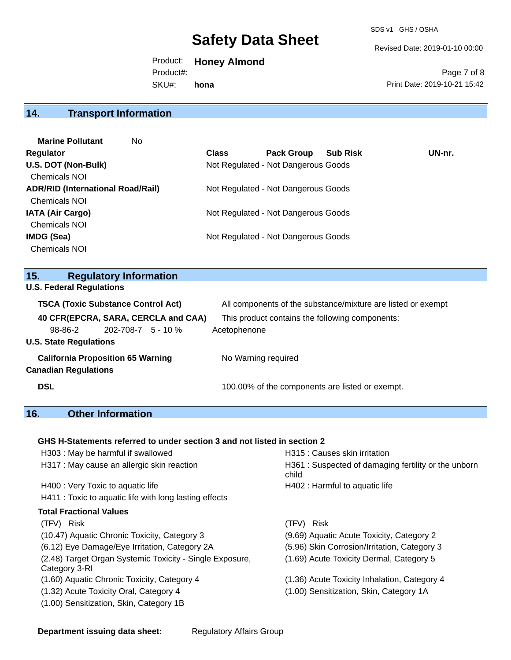Revised Date: 2019-01-10 00:00

Product: **Honey Almond**  SKU#: Product#: **hona**

Page 7 of 8 Print Date: 2019-10-21 15:42

## **14. Transport Information**

| <b>Marine Pollutant</b><br>No            |              |                                     |                 |        |
|------------------------------------------|--------------|-------------------------------------|-----------------|--------|
| Regulator                                | <b>Class</b> | <b>Pack Group</b>                   | <b>Sub Risk</b> | UN-nr. |
| U.S. DOT (Non-Bulk)                      |              | Not Regulated - Not Dangerous Goods |                 |        |
| <b>Chemicals NOI</b>                     |              |                                     |                 |        |
| <b>ADR/RID (International Road/Rail)</b> |              | Not Regulated - Not Dangerous Goods |                 |        |
| <b>Chemicals NOI</b>                     |              |                                     |                 |        |
| <b>IATA (Air Cargo)</b>                  |              | Not Regulated - Not Dangerous Goods |                 |        |
| <b>Chemicals NOI</b>                     |              |                                     |                 |        |
| IMDG (Sea)                               |              | Not Regulated - Not Dangerous Goods |                 |        |
| <b>Chemicals NOI</b>                     |              |                                     |                 |        |
|                                          |              |                                     |                 |        |

### **15. Regulatory Information**

|  | <b>U.S. Federal Regulations</b> |
|--|---------------------------------|
|  |                                 |

| <b>TSCA (Toxic Substance Control Act)</b>                                  |  | All components of the substance/mixture are listed or exempt |  |
|----------------------------------------------------------------------------|--|--------------------------------------------------------------|--|
| 40 CFR(EPCRA, SARA, CERCLA and CAA)<br>$202 - 708 - 7$ 5 - 10 %<br>98-86-2 |  | This product contains the following components:              |  |
| <b>U.S. State Regulations</b>                                              |  |                                                              |  |
| <b>California Proposition 65 Warning</b>                                   |  | No Warning required                                          |  |
| <b>DSL</b>                                                                 |  | 100.00% of the components are listed or exempt.              |  |
| <b>Canadian Regulations</b>                                                |  | Acetophenone                                                 |  |

### **16. Other Information**

#### **GHS H-Statements referred to under section 3 and not listed in section 2**

| H303 : May be harmful if swallowed                                        | H315 : Causes skin irritation                                |
|---------------------------------------------------------------------------|--------------------------------------------------------------|
| H317 : May cause an allergic skin reaction                                | H361: Suspected of damaging fertility or the unborn<br>child |
| H400 : Very Toxic to aquatic life                                         | H402 : Harmful to aquatic life                               |
| H411 : Toxic to aquatic life with long lasting effects                    |                                                              |
| <b>Total Fractional Values</b>                                            |                                                              |
| (TFV) Risk                                                                | (TFV) Risk                                                   |
| (10.47) Aquatic Chronic Toxicity, Category 3                              | (9.69) Aquatic Acute Toxicity, Category 2                    |
| (6.12) Eye Damage/Eye Irritation, Category 2A                             | (5.96) Skin Corrosion/Irritation, Category 3                 |
| (2.48) Target Organ Systemic Toxicity - Single Exposure,<br>Category 3-RI | (1.69) Acute Toxicity Dermal, Category 5                     |
| (1.60) Aquatic Chronic Toxicity, Category 4                               | (1.36) Acute Toxicity Inhalation, Category 4                 |
| (1.32) Acute Toxicity Oral, Category 4                                    | (1.00) Sensitization, Skin, Category 1A                      |
| (1.00) Sensitization, Skin, Category 1B                                   |                                                              |
|                                                                           |                                                              |